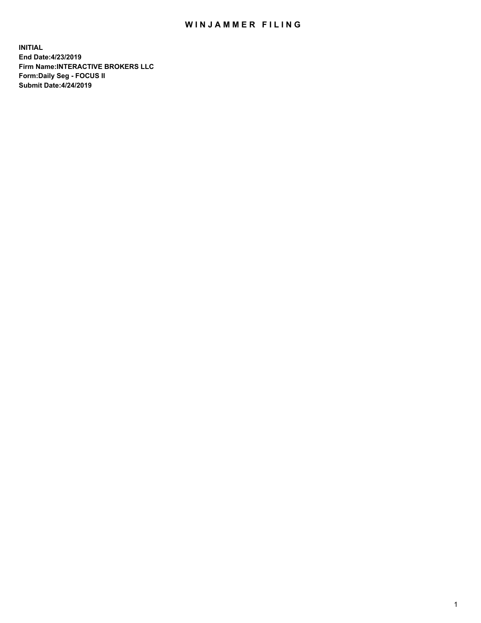## WIN JAMMER FILING

**INITIAL End Date:4/23/2019 Firm Name:INTERACTIVE BROKERS LLC Form:Daily Seg - FOCUS II Submit Date:4/24/2019**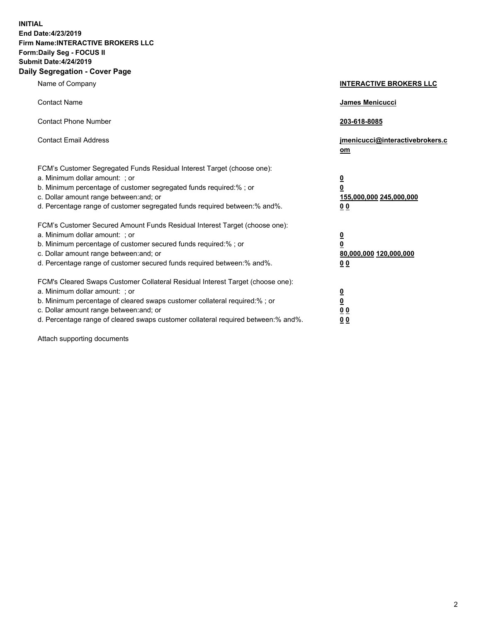**INITIAL End Date:4/23/2019 Firm Name:INTERACTIVE BROKERS LLC Form:Daily Seg - FOCUS II Submit Date:4/24/2019 Daily Segregation - Cover Page**

| Name of Company                                                                                                                                                                                                                                                                                                                | <b>INTERACTIVE BROKERS LLC</b>                                                   |
|--------------------------------------------------------------------------------------------------------------------------------------------------------------------------------------------------------------------------------------------------------------------------------------------------------------------------------|----------------------------------------------------------------------------------|
| <b>Contact Name</b>                                                                                                                                                                                                                                                                                                            | James Menicucci                                                                  |
| <b>Contact Phone Number</b>                                                                                                                                                                                                                                                                                                    | 203-618-8085                                                                     |
| <b>Contact Email Address</b>                                                                                                                                                                                                                                                                                                   | jmenicucci@interactivebrokers.c<br>om                                            |
| FCM's Customer Segregated Funds Residual Interest Target (choose one):<br>a. Minimum dollar amount: ; or<br>b. Minimum percentage of customer segregated funds required:% ; or<br>c. Dollar amount range between: and; or<br>d. Percentage range of customer segregated funds required between:% and%.                         | <u>0</u><br>$\overline{\mathbf{0}}$<br>155,000,000 245,000,000<br>0 <sub>0</sub> |
| FCM's Customer Secured Amount Funds Residual Interest Target (choose one):<br>a. Minimum dollar amount: ; or<br>b. Minimum percentage of customer secured funds required:% ; or<br>c. Dollar amount range between: and; or<br>d. Percentage range of customer secured funds required between:% and%.                           | <u>0</u><br>$\overline{\mathbf{0}}$<br>80,000,000 120,000,000<br>0 <sub>0</sub>  |
| FCM's Cleared Swaps Customer Collateral Residual Interest Target (choose one):<br>a. Minimum dollar amount: ; or<br>b. Minimum percentage of cleared swaps customer collateral required:% ; or<br>c. Dollar amount range between: and; or<br>d. Percentage range of cleared swaps customer collateral required between:% and%. | <u>0</u><br>$\underline{\mathbf{0}}$<br>0 <sub>0</sub><br>0 <sub>0</sub>         |

Attach supporting documents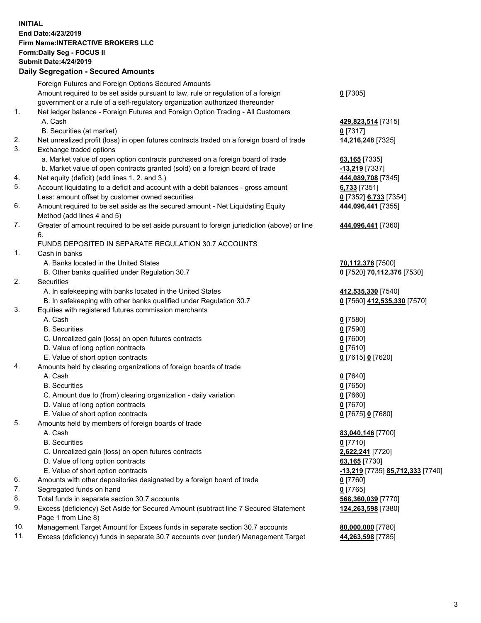## **INITIAL End Date:4/23/2019 Firm Name:INTERACTIVE BROKERS LLC Form:Daily Seg - FOCUS II Submit Date:4/24/2019**

|     | <b>Daily Segregation - Secured Amounts</b>                                                  |                                                      |
|-----|---------------------------------------------------------------------------------------------|------------------------------------------------------|
|     | Foreign Futures and Foreign Options Secured Amounts                                         |                                                      |
|     | Amount required to be set aside pursuant to law, rule or regulation of a foreign            | $0$ [7305]                                           |
|     | government or a rule of a self-regulatory organization authorized thereunder                |                                                      |
| 1.  | Net ledger balance - Foreign Futures and Foreign Option Trading - All Customers             |                                                      |
|     | A. Cash                                                                                     | 429,823,514 [7315]                                   |
|     | B. Securities (at market)                                                                   | $0$ [7317]                                           |
| 2.  | Net unrealized profit (loss) in open futures contracts traded on a foreign board of trade   | 14,216,248 [7325]                                    |
| 3.  | Exchange traded options                                                                     |                                                      |
|     | a. Market value of open option contracts purchased on a foreign board of trade              | 63,165 [7335]                                        |
|     | b. Market value of open contracts granted (sold) on a foreign board of trade                | -13,219 [7337]                                       |
| 4.  | Net equity (deficit) (add lines 1.2. and 3.)                                                | 444,089,708 [7345]                                   |
| 5.  | Account liquidating to a deficit and account with a debit balances - gross amount           | 6,733 [7351]                                         |
|     | Less: amount offset by customer owned securities                                            | 0 [7352] 6,733 [7354]                                |
| 6.  | Amount required to be set aside as the secured amount - Net Liquidating Equity              | 444,096,441 [7355]                                   |
|     | Method (add lines 4 and 5)                                                                  |                                                      |
| 7.  | Greater of amount required to be set aside pursuant to foreign jurisdiction (above) or line | 444,096,441 [7360]                                   |
|     | 6.                                                                                          |                                                      |
|     | FUNDS DEPOSITED IN SEPARATE REGULATION 30.7 ACCOUNTS                                        |                                                      |
| 1.  | Cash in banks                                                                               |                                                      |
|     | A. Banks located in the United States                                                       | 70,112,376 [7500]                                    |
|     | B. Other banks qualified under Regulation 30.7                                              | 0 [7520] 70,112,376 [7530]                           |
| 2.  | Securities                                                                                  |                                                      |
|     | A. In safekeeping with banks located in the United States                                   | 412,535,330 [7540]                                   |
|     | B. In safekeeping with other banks qualified under Regulation 30.7                          | 0 [7560] 412,535,330 [7570]                          |
| 3.  | Equities with registered futures commission merchants                                       |                                                      |
|     | A. Cash                                                                                     | $0$ [7580]                                           |
|     | <b>B.</b> Securities                                                                        | $0$ [7590]                                           |
|     | C. Unrealized gain (loss) on open futures contracts                                         | $0$ [7600]                                           |
|     | D. Value of long option contracts                                                           | $0$ [7610]                                           |
|     | E. Value of short option contracts                                                          | 0 [7615] 0 [7620]                                    |
| 4.  | Amounts held by clearing organizations of foreign boards of trade                           |                                                      |
|     | A. Cash                                                                                     | $0$ [7640]                                           |
|     | <b>B.</b> Securities                                                                        |                                                      |
|     | C. Amount due to (from) clearing organization - daily variation                             | $0$ [7650]                                           |
|     | D. Value of long option contracts                                                           | $0$ [7660]                                           |
|     | E. Value of short option contracts                                                          | $0$ [7670]                                           |
| 5.  | Amounts held by members of foreign boards of trade                                          | 0 [7675] 0 [7680]                                    |
|     | A. Cash                                                                                     |                                                      |
|     |                                                                                             | 83,040,146 [7700]                                    |
|     | <b>B.</b> Securities                                                                        | $0$ [7710]                                           |
|     | C. Unrealized gain (loss) on open futures contracts                                         | 2,622,241 [7720]                                     |
|     | D. Value of long option contracts                                                           | 63,165 [7730]                                        |
|     | E. Value of short option contracts                                                          | <mark>-13,219</mark> [7735] <b>85,712,333</b> [7740] |
| 6.  | Amounts with other depositories designated by a foreign board of trade                      | 0 [7760]                                             |
| 7.  | Segregated funds on hand                                                                    | $0$ [7765]                                           |
| 8.  | Total funds in separate section 30.7 accounts                                               | 568,360,039 [7770]                                   |
| 9.  | Excess (deficiency) Set Aside for Secured Amount (subtract line 7 Secured Statement         | 124,263,598 [7380]                                   |
|     | Page 1 from Line 8)                                                                         |                                                      |
| 10. | Management Target Amount for Excess funds in separate section 30.7 accounts                 | 80,000,000 [7780]                                    |
| 11. | Excess (deficiency) funds in separate 30.7 accounts over (under) Management Target          | 44,263,598 [7785]                                    |
|     |                                                                                             |                                                      |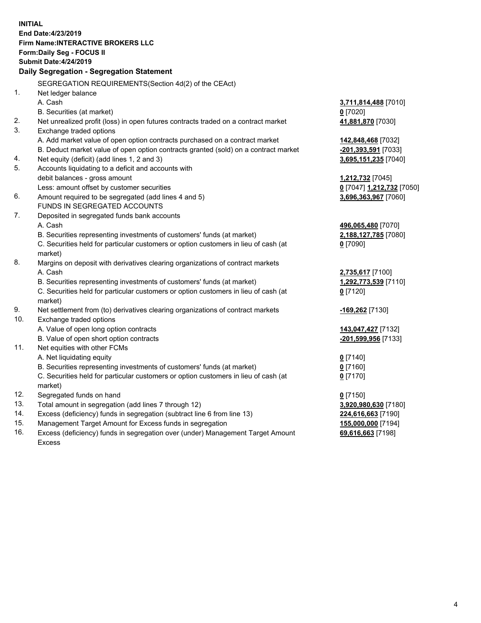**INITIAL End Date:4/23/2019 Firm Name:INTERACTIVE BROKERS LLC Form:Daily Seg - FOCUS II Submit Date:4/24/2019 Daily Segregation - Segregation Statement** SEGREGATION REQUIREMENTS(Section 4d(2) of the CEAct) 1. Net ledger balance A. Cash **3,711,814,488** [7010] B. Securities (at market) **0** [7020] 2. Net unrealized profit (loss) in open futures contracts traded on a contract market **41,881,870** [7030] 3. Exchange traded options A. Add market value of open option contracts purchased on a contract market **142,848,468** [7032] B. Deduct market value of open option contracts granted (sold) on a contract market **-201,393,591** [7033] 4. Net equity (deficit) (add lines 1, 2 and 3) **3,695,151,235** [7040] 5. Accounts liquidating to a deficit and accounts with debit balances - gross amount **1,212,732** [7045] Less: amount offset by customer securities **0** [7047] **1,212,732** [7050] 6. Amount required to be segregated (add lines 4 and 5) **3,696,363,967** [7060] FUNDS IN SEGREGATED ACCOUNTS 7. Deposited in segregated funds bank accounts A. Cash **496,065,480** [7070] B. Securities representing investments of customers' funds (at market) **2,188,127,785** [7080] C. Securities held for particular customers or option customers in lieu of cash (at market) **0** [7090] 8. Margins on deposit with derivatives clearing organizations of contract markets A. Cash **2,735,617** [7100] B. Securities representing investments of customers' funds (at market) **1,292,773,539** [7110] C. Securities held for particular customers or option customers in lieu of cash (at market) **0** [7120] 9. Net settlement from (to) derivatives clearing organizations of contract markets **-169,262** [7130] 10. Exchange traded options A. Value of open long option contracts **143,047,427** [7132] B. Value of open short option contracts **-201,599,956** [7133] 11. Net equities with other FCMs A. Net liquidating equity **0** [7140] B. Securities representing investments of customers' funds (at market) **0** [7160] C. Securities held for particular customers or option customers in lieu of cash (at market) **0** [7170] 12. Segregated funds on hand **0** [7150] 13. Total amount in segregation (add lines 7 through 12) **3,920,980,630** [7180] 14. Excess (deficiency) funds in segregation (subtract line 6 from line 13) **224,616,663** [7190] 15. Management Target Amount for Excess funds in segregation **155,000,000** [7194]

16. Excess (deficiency) funds in segregation over (under) Management Target Amount Excess

**69,616,663** [7198]